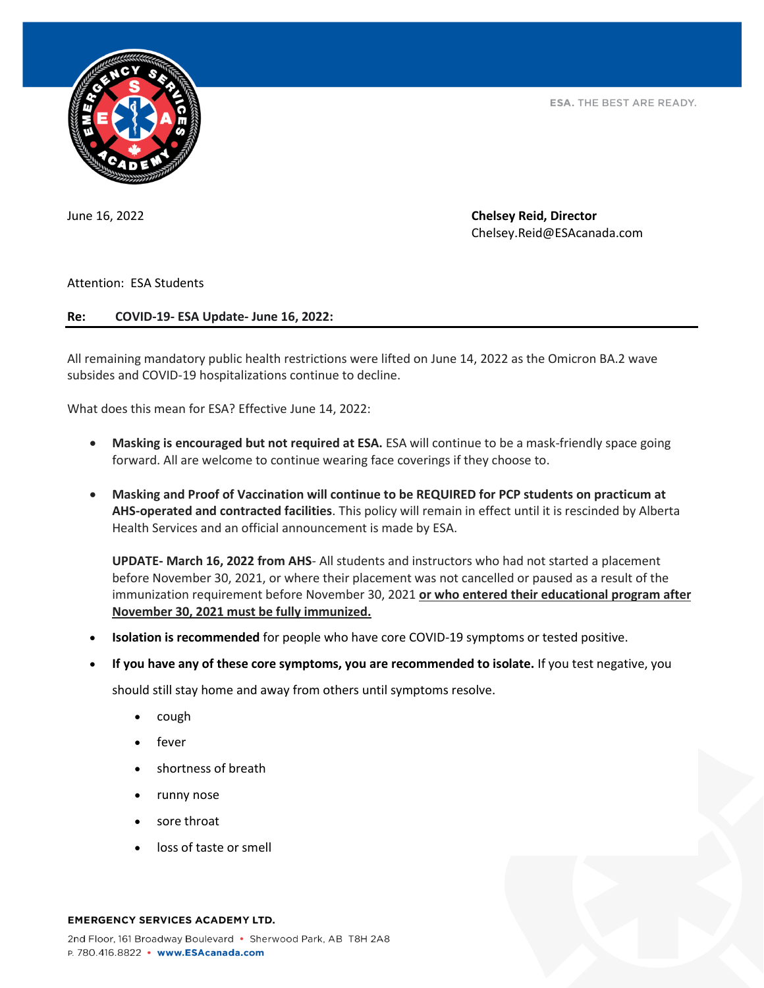

ESA. THE BEST ARE READY.

June 16, 2022 **Chelsey Reid, Director** Chelsey.Reid@ESAcanada.com

Attention: ESA Students

## **Re: COVID-19- ESA Update- June 16, 2022:**

All remaining mandatory public health restrictions were lifted on June 14, 2022 as the Omicron BA.2 wave subsides and COVID-19 hospitalizations continue to decline.

What does this mean for ESA? Effective June 14, 2022:

- **Masking is encouraged but not required at ESA.** ESA will continue to be a mask-friendly space going forward. All are welcome to continue wearing face coverings if they choose to.
- **Masking and Proof of Vaccination will continue to be REQUIRED for PCP students on practicum at AHS-operated and contracted facilities**. This policy will remain in effect until it is rescinded by Alberta Health Services and an official announcement is made by ESA.

**UPDATE- March 16, 2022 from AHS**- All students and instructors who had not started a placement before November 30, 2021, or where their placement was not cancelled or paused as a result of the immunization requirement before November 30, 2021 **or who entered their educational program after November 30, 2021 must be fully immunized.**

- **Isolation is recommended** for people who have core COVID-19 symptoms or tested positive.
- **If you have any of these core symptoms, you are recommended to isolate.** If you test negative, you

should still stay home and away from others until symptoms resolve.

- cough
- fever
- shortness of breath
- runny nose
- sore throat
- loss of taste or smell

## **EMERGENCY SERVICES ACADEMY LTD.**

2nd Floor, 161 Broadway Boulevard • Sherwood Park, AB T8H 2A8 P. 780.416.8822 · www.ESAcanada.com